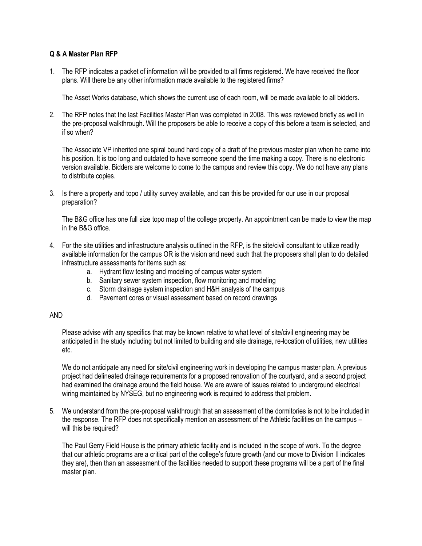## **Q & A Master Plan RFP**

1. The RFP indicates a packet of information will be provided to all firms registered. We have received the floor plans. Will there be any other information made available to the registered firms?

The Asset Works database, which shows the current use of each room, will be made available to all bidders.

2. The RFP notes that the last Facilities Master Plan was completed in 2008. This was reviewed briefly as well in the pre-proposal walkthrough. Will the proposers be able to receive a copy of this before a team is selected, and if so when?

The Associate VP inherited one spiral bound hard copy of a draft of the previous master plan when he came into his position. It is too long and outdated to have someone spend the time making a copy. There is no electronic version available. Bidders are welcome to come to the campus and review this copy. We do not have any plans to distribute copies.

3. Is there a property and topo / utility survey available, and can this be provided for our use in our proposal preparation?

The B&G office has one full size topo map of the college property. An appointment can be made to view the map in the B&G office.

- 4. For the site utilities and infrastructure analysis outlined in the RFP, is the site/civil consultant to utilize readily available information for the campus OR is the vision and need such that the proposers shall plan to do detailed infrastructure assessments for items such as:
	- a. Hydrant flow testing and modeling of campus water system
	- b. Sanitary sewer system inspection, flow monitoring and modeling
	- c. Storm drainage system inspection and H&H analysis of the campus
	- d. Pavement cores or visual assessment based on record drawings

## AND

Please advise with any specifics that may be known relative to what level of site/civil engineering may be anticipated in the study including but not limited to building and site drainage, re-location of utilities, new utilities etc.

We do not anticipate any need for site/civil engineering work in developing the campus master plan. A previous project had delineated drainage requirements for a proposed renovation of the courtyard, and a second project had examined the drainage around the field house. We are aware of issues related to underground electrical wiring maintained by NYSEG, but no engineering work is required to address that problem.

5. We understand from the pre-proposal walkthrough that an assessment of the dormitories is not to be included in the response. The RFP does not specifically mention an assessment of the Athletic facilities on the campus – will this be required?

The Paul Gerry Field House is the primary athletic facility and is included in the scope of work. To the degree that our athletic programs are a critical part of the college's future growth (and our move to Division II indicates they are), then than an assessment of the facilities needed to support these programs will be a part of the final master plan.